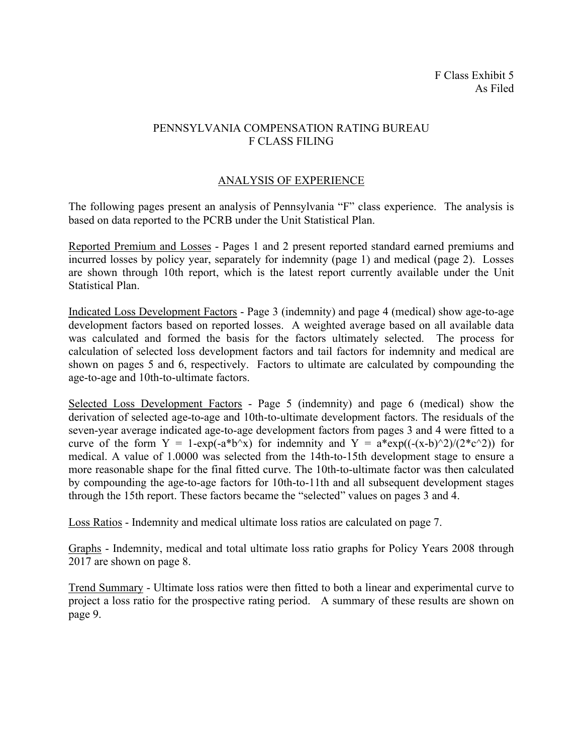# PENNSYLVANIA COMPENSATION RATING BUREAU F CLASS FILING

# ANALYSIS OF EXPERIENCE

The following pages present an analysis of Pennsylvania "F" class experience. The analysis is based on data reported to the PCRB under the Unit Statistical Plan.

Reported Premium and Losses - Pages 1 and 2 present reported standard earned premiums and incurred losses by policy year, separately for indemnity (page 1) and medical (page 2). Losses are shown through 10th report, which is the latest report currently available under the Unit Statistical Plan.

Indicated Loss Development Factors - Page 3 (indemnity) and page 4 (medical) show age-to-age development factors based on reported losses. A weighted average based on all available data was calculated and formed the basis for the factors ultimately selected. The process for calculation of selected loss development factors and tail factors for indemnity and medical are shown on pages 5 and 6, respectively. Factors to ultimate are calculated by compounding the age-to-age and 10th-to-ultimate factors.

Selected Loss Development Factors - Page 5 (indemnity) and page 6 (medical) show the derivation of selected age-to-age and 10th-to-ultimate development factors. The residuals of the seven-year average indicated age-to-age development factors from pages 3 and 4 were fitted to a curve of the form  $Y = 1-\exp(-a^*b^x)$  for indemnity and  $Y = a^*\exp((-x-b)^2)/(2^*c^2))$  for medical. A value of 1.0000 was selected from the 14th-to-15th development stage to ensure a more reasonable shape for the final fitted curve. The 10th-to-ultimate factor was then calculated by compounding the age-to-age factors for 10th-to-11th and all subsequent development stages through the 15th report. These factors became the "selected" values on pages 3 and 4.

Loss Ratios - Indemnity and medical ultimate loss ratios are calculated on page 7.

Graphs - Indemnity, medical and total ultimate loss ratio graphs for Policy Years 2008 through 2017 are shown on page 8.

Trend Summary - Ultimate loss ratios were then fitted to both a linear and experimental curve to project a loss ratio for the prospective rating period. A summary of these results are shown on page 9.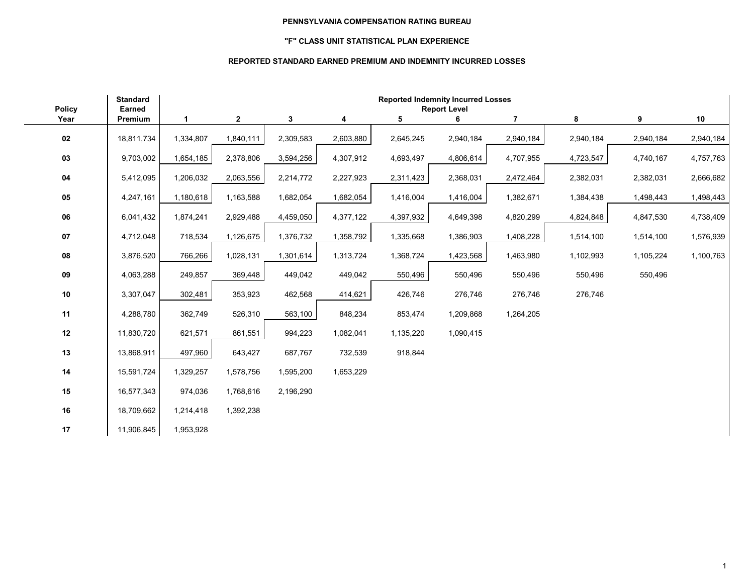## **"F" CLASS UNIT STATISTICAL PLAN EXPERIENCE**

## **REPORTED STANDARD EARNED PREMIUM AND INDEMNITY INCURRED LOSSES**

| <b>Policy</b> | <b>Standard</b><br>Earned | <b>Reported Indemnity Incurred Losses</b><br><b>Report Level</b> |              |           |           |           |           |                |           |           |           |
|---------------|---------------------------|------------------------------------------------------------------|--------------|-----------|-----------|-----------|-----------|----------------|-----------|-----------|-----------|
| Year          | Premium                   | 1                                                                | $\mathbf{2}$ | 3         | 4         | 5         | 6         | $\overline{7}$ | 8         | 9         | 10        |
| 02            | 18,811,734                | 1,334,807                                                        | 1,840,111    | 2,309,583 | 2,603,880 | 2,645,245 | 2,940,184 | 2,940,184      | 2,940,184 | 2,940,184 | 2,940,184 |
| 03            | 9,703,002                 | 1,654,185                                                        | 2,378,806    | 3,594,256 | 4,307,912 | 4,693,497 | 4,806,614 | 4,707,955      | 4,723,547 | 4,740,167 | 4,757,763 |
| 04            | 5,412,095                 | 1,206,032                                                        | 2,063,556    | 2,214,772 | 2,227,923 | 2,311,423 | 2,368,031 | 2,472,464      | 2,382,031 | 2,382,031 | 2,666,682 |
| 05            | 4,247,161                 | 1,180,618                                                        | 1,163,588    | 1,682,054 | 1,682,054 | 1,416,004 | 1,416,004 | 1,382,671      | 1,384,438 | 1,498,443 | 1,498,443 |
| 06            | 6,041,432                 | 1,874,241                                                        | 2,929,488    | 4,459,050 | 4,377,122 | 4,397,932 | 4,649,398 | 4,820,299      | 4,824,848 | 4,847,530 | 4,738,409 |
| 07            | 4,712,048                 | 718,534                                                          | 1,126,675    | 1,376,732 | 1,358,792 | 1,335,668 | 1,386,903 | 1,408,228      | 1,514,100 | 1,514,100 | 1,576,939 |
| 08            | 3,876,520                 | 766,266                                                          | 1,028,131    | 1,301,614 | 1,313,724 | 1,368,724 | 1,423,568 | 1,463,980      | 1,102,993 | 1,105,224 | 1,100,763 |
| 09            | 4,063,288                 | 249,857                                                          | 369,448      | 449,042   | 449,042   | 550,496   | 550,496   | 550,496        | 550,496   | 550,496   |           |
| $10\,$        | 3,307,047                 | 302,481                                                          | 353,923      | 462,568   | 414,621   | 426,746   | 276,746   | 276,746        | 276,746   |           |           |
| 11            | 4,288,780                 | 362,749                                                          | 526,310      | 563,100   | 848,234   | 853,474   | 1,209,868 | 1,264,205      |           |           |           |
| 12            | 11,830,720                | 621,571                                                          | 861,551      | 994,223   | 1,082,041 | 1,135,220 | 1,090,415 |                |           |           |           |
| 13            | 13,868,911                | 497,960                                                          | 643,427      | 687,767   | 732,539   | 918,844   |           |                |           |           |           |
| 14            | 15,591,724                | 1,329,257                                                        | 1,578,756    | 1,595,200 | 1,653,229 |           |           |                |           |           |           |
| 15            | 16,577,343                | 974,036                                                          | 1,768,616    | 2,196,290 |           |           |           |                |           |           |           |
| 16            | 18,709,662                | 1,214,418                                                        | 1,392,238    |           |           |           |           |                |           |           |           |
| 17            | 11,906,845                | 1,953,928                                                        |              |           |           |           |           |                |           |           |           |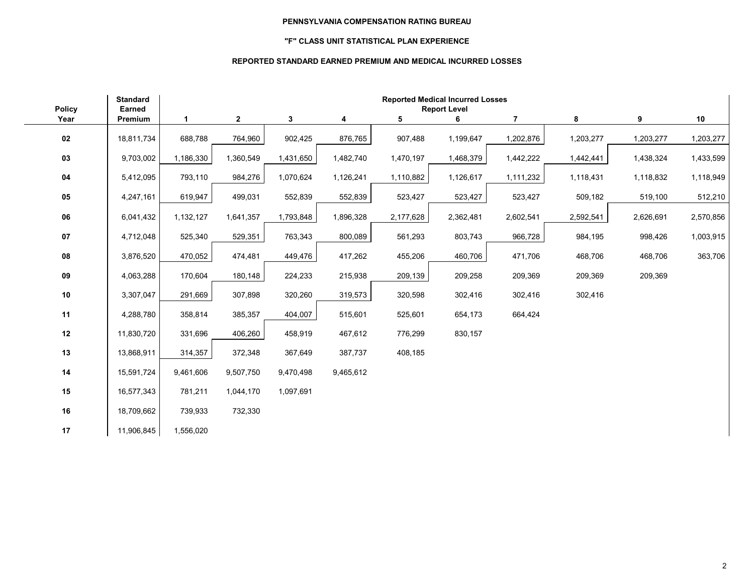## **"F" CLASS UNIT STATISTICAL PLAN EXPERIENCE**

## **REPORTED STANDARD EARNED PREMIUM AND MEDICAL INCURRED LOSSES**

|                       | <b>Standard</b>          |             |              |           |           |           | <b>Reported Medical Incurred Losses</b> |                |           |           |           |
|-----------------------|--------------------------|-------------|--------------|-----------|-----------|-----------|-----------------------------------------|----------------|-----------|-----------|-----------|
| <b>Policy</b><br>Year | <b>Earned</b><br>Premium | $\mathbf 1$ | $\mathbf{2}$ | 3         | 4         | 5         | <b>Report Level</b><br>6                | $\overline{7}$ | 8         | 9         | 10        |
| 02                    | 18,811,734               | 688,788     | 764,960      | 902,425   | 876,765   | 907,488   | 1,199,647                               | 1,202,876      | 1,203,277 | 1,203,277 | 1,203,277 |
| 03                    | 9,703,002                | 1,186,330   | 1,360,549    | 1,431,650 | 1,482,740 | 1,470,197 | 1,468,379                               | 1,442,222      | 1,442,441 | 1,438,324 | 1,433,599 |
| ${\bf 04}$            | 5,412,095                | 793,110     | 984,276      | 1,070,624 | 1,126,241 | 1,110,882 | 1,126,617                               | 1,111,232      | 1,118,431 | 1,118,832 | 1,118,949 |
| 05                    | 4,247,161                | 619,947     | 499,031      | 552,839   | 552,839   | 523,427   | 523,427                                 | 523,427        | 509,182   | 519,100   | 512,210   |
| 06                    | 6,041,432                | 1,132,127   | 1,641,357    | 1,793,848 | 1,896,328 | 2,177,628 | 2,362,481                               | 2,602,541      | 2,592,541 | 2,626,691 | 2,570,856 |
| $07\,$                | 4,712,048                | 525,340     | 529,351      | 763,343   | 800,089   | 561,293   | 803,743                                 | 966,728        | 984,195   | 998,426   | 1,003,915 |
| 08                    | 3,876,520                | 470,052     | 474,481      | 449,476   | 417,262   | 455,206   | 460,706                                 | 471,706        | 468,706   | 468,706   | 363,706   |
| ${\bf 09}$            | 4,063,288                | 170,604     | 180,148      | 224,233   | 215,938   | 209,139   | 209,258                                 | 209,369        | 209,369   | 209,369   |           |
| $10\,$                | 3,307,047                | 291,669     | 307,898      | 320,260   | 319,573   | 320,598   | 302,416                                 | 302,416        | 302,416   |           |           |
| 11                    | 4,288,780                | 358,814     | 385,357      | 404,007   | 515,601   | 525,601   | 654,173                                 | 664,424        |           |           |           |
| 12                    | 11,830,720               | 331,696     | 406,260      | 458,919   | 467,612   | 776,299   | 830,157                                 |                |           |           |           |
| 13                    | 13,868,911               | 314,357     | 372,348      | 367,649   | 387,737   | 408,185   |                                         |                |           |           |           |
| 14                    | 15,591,724               | 9,461,606   | 9,507,750    | 9,470,498 | 9,465,612 |           |                                         |                |           |           |           |
| 15                    | 16,577,343               | 781,211     | 1,044,170    | 1,097,691 |           |           |                                         |                |           |           |           |
| 16                    | 18,709,662               | 739,933     | 732,330      |           |           |           |                                         |                |           |           |           |
| 17                    | 11,906,845               | 1,556,020   |              |           |           |           |                                         |                |           |           |           |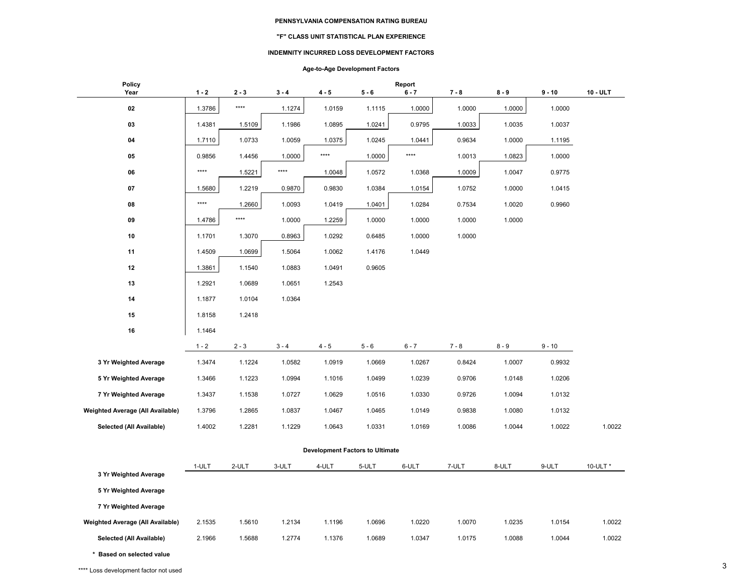#### **"F" CLASS UNIT STATISTICAL PLAN EXPERIENCE**

#### **INDEMNITY INCURRED LOSS DEVELOPMENT FACTORS**

## **Age-to-Age Development Factors**

| <b>Policy</b><br>Year                   | $1 - 2$ | $2 - 3$                | $3 - 4$ | $4 - 5$                                | $5 - 6$ | Report<br>$6 - 7$ | $7 - 8$ | $8 - 9$ | $9 - 10$ | 10 - ULT |
|-----------------------------------------|---------|------------------------|---------|----------------------------------------|---------|-------------------|---------|---------|----------|----------|
|                                         |         |                        |         |                                        |         |                   |         |         |          |          |
| 02                                      | 1.3786  | $\star\star\star\star$ | 1.1274  | 1.0159                                 | 1.1115  | 1.0000            | 1.0000  | 1.0000  | 1.0000   |          |
| 03                                      | 1.4381  | 1.5109                 | 1.1986  | 1.0895                                 | 1.0241  | 0.9795            | 1.0033  | 1.0035  | 1.0037   |          |
| 04                                      | 1.7110  | 1.0733                 | 1.0059  | 1.0375                                 | 1.0245  | 1.0441            | 0.9634  | 1.0000  | 1.1195   |          |
| 05                                      | 0.9856  | 1.4456                 | 1.0000  | $***$                                  | 1.0000  | $***$             | 1.0013  | 1.0823  | 1.0000   |          |
| 06                                      | $***$   | 1.5221                 | ****    | 1.0048                                 | 1.0572  | 1.0368            | 1.0009  | 1.0047  | 0.9775   |          |
| 07                                      | 1.5680  | 1.2219                 | 0.9870  | 0.9830                                 | 1.0384  | 1.0154            | 1.0752  | 1.0000  | 1.0415   |          |
| 08                                      | $***$   | 1.2660                 | 1.0093  | 1.0419                                 | 1.0401  | 1.0284            | 0.7534  | 1.0020  | 0.9960   |          |
| 09                                      | 1.4786  | $***$                  | 1.0000  | 1.2259                                 | 1.0000  | 1.0000            | 1.0000  | 1.0000  |          |          |
| 10                                      | 1.1701  | 1.3070                 | 0.8963  | 1.0292                                 | 0.6485  | 1.0000            | 1.0000  |         |          |          |
| 11                                      | 1.4509  | 1.0699                 | 1.5064  | 1.0062                                 | 1.4176  | 1.0449            |         |         |          |          |
| 12                                      | 1.3861  | 1.1540                 | 1.0883  | 1.0491                                 | 0.9605  |                   |         |         |          |          |
| 13                                      | 1.2921  | 1.0689                 | 1.0651  | 1.2543                                 |         |                   |         |         |          |          |
| 14                                      | 1.1877  | 1.0104                 | 1.0364  |                                        |         |                   |         |         |          |          |
| 15                                      | 1.8158  | 1.2418                 |         |                                        |         |                   |         |         |          |          |
| 16                                      | 1.1464  |                        |         |                                        |         |                   |         |         |          |          |
|                                         | $1 - 2$ | $2 - 3$                | $3 - 4$ | $4 - 5$                                | $5 - 6$ | $6 - 7$           | $7 - 8$ | $8 - 9$ | $9 - 10$ |          |
| 3 Yr Weighted Average                   | 1.3474  | 1.1224                 | 1.0582  | 1.0919                                 | 1.0669  | 1.0267            | 0.8424  | 1.0007  | 0.9932   |          |
| 5 Yr Weighted Average                   | 1.3466  | 1.1223                 | 1.0994  | 1.1016                                 | 1.0499  | 1.0239            | 0.9706  | 1.0148  | 1.0206   |          |
| 7 Yr Weighted Average                   | 1.3437  | 1.1538                 | 1.0727  | 1.0629                                 | 1.0516  | 1.0330            | 0.9726  | 1.0094  | 1.0132   |          |
| <b>Weighted Average (All Available)</b> | 1.3796  | 1.2865                 | 1.0837  | 1.0467                                 | 1.0465  | 1.0149            | 0.9838  | 1.0080  | 1.0132   |          |
| Selected (All Available)                | 1.4002  | 1.2281                 | 1.1229  | 1.0643                                 | 1.0331  | 1.0169            | 1.0086  | 1.0044  | 1.0022   | 1.0022   |
|                                         |         |                        |         | <b>Development Factors to Ultimate</b> |         |                   |         |         |          |          |
|                                         |         |                        |         |                                        |         |                   |         |         |          |          |
| 3 Yr Weighted Average                   | 1-ULT   | 2-ULT                  | 3-ULT   | 4-ULT                                  | 5-ULT   | 6-ULT             | 7-ULT   | 8-ULT   | 9-ULT    | 10-ULT * |
| 5 Yr Weighted Average                   |         |                        |         |                                        |         |                   |         |         |          |          |
| 7 Yr Weighted Average                   |         |                        |         |                                        |         |                   |         |         |          |          |
| Weighted Average (All Available)        | 2.1535  | 1.5610                 | 1.2134  | 1.1196                                 | 1.0696  | 1.0220            | 1.0070  | 1.0235  | 1.0154   | 1.0022   |
| Selected (All Available)                | 2.1966  | 1.5688                 | 1.2774  | 1.1376                                 | 1.0689  | 1.0347            | 1.0175  | 1.0088  | 1.0044   | 1.0022   |
|                                         |         |                        |         |                                        |         |                   |         |         |          |          |

**\* Based on selected value** \*\*\*\* Loss development factor not used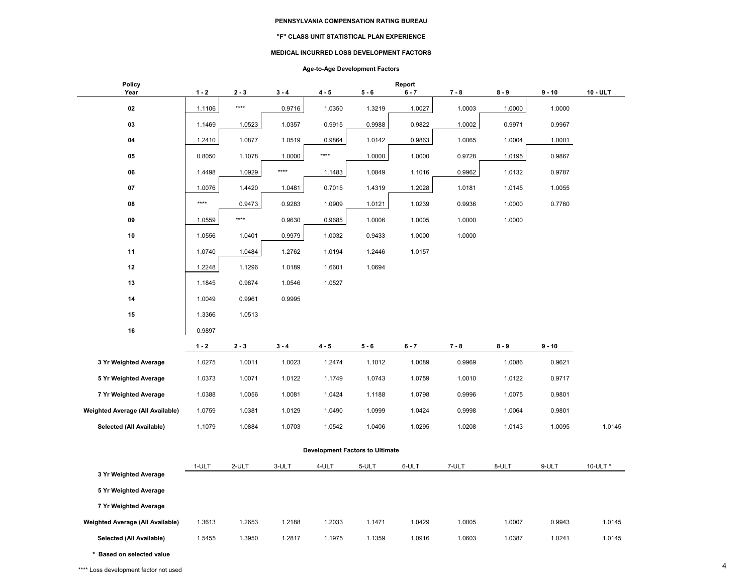#### **"F" CLASS UNIT STATISTICAL PLAN EXPERIENCE**

#### **MEDICAL INCURRED LOSS DEVELOPMENT FACTORS**

## **Age-to-Age Development Factors**

| <b>Policy</b><br>Year            | $1 - 2$                                | $2 - 3$ |         | $4 - 5$ | $5 - 6$ | Report<br>$6 - 7$ | $7 - 8$ | $8 - 9$ | $9 - 10$ | 10 - ULT |  |
|----------------------------------|----------------------------------------|---------|---------|---------|---------|-------------------|---------|---------|----------|----------|--|
|                                  |                                        |         | $3 - 4$ |         |         |                   |         |         |          |          |  |
| 02                               | 1.1106                                 | ****    | 0.9716  | 1.0350  | 1.3219  | 1.0027            | 1.0003  | 1.0000  | 1.0000   |          |  |
| 03                               | 1.1469                                 | 1.0523  | 1.0357  | 0.9915  | 0.9988  | 0.9822            | 1.0002  | 0.9971  | 0.9967   |          |  |
| 04                               | 1.2410                                 | 1.0877  | 1.0519  | 0.9864  | 1.0142  | 0.9863            | 1.0065  | 1.0004  | 1.0001   |          |  |
| 05                               | 0.8050                                 | 1.1078  | 1.0000  | $***$   | 1.0000  | 1.0000            | 0.9728  | 1.0195  | 0.9867   |          |  |
| 06                               | 1.4498                                 | 1.0929  | $***$   | 1.1483  | 1.0849  | 1.1016            | 0.9962  | 1.0132  | 0.9787   |          |  |
| 07                               | 1.0076                                 | 1.4420  | 1.0481  | 0.7015  | 1.4319  | 1.2028            | 1.0181  | 1.0145  | 1.0055   |          |  |
| 08                               | $***$                                  | 0.9473  | 0.9283  | 1.0909  | 1.0121  | 1.0239            | 0.9936  | 1.0000  | 0.7760   |          |  |
| 09                               | 1.0559                                 | ****    | 0.9630  | 0.9685  | 1.0006  | 1.0005            | 1.0000  | 1.0000  |          |          |  |
| 10                               | 1.0556                                 | 1.0401  | 0.9979  | 1.0032  | 0.9433  | 1.0000            | 1.0000  |         |          |          |  |
| 11                               | 1.0740                                 | 1.0484  | 1.2762  | 1.0194  | 1.2446  | 1.0157            |         |         |          |          |  |
| 12                               | 1.2248                                 | 1.1296  | 1.0189  | 1.6601  | 1.0694  |                   |         |         |          |          |  |
| 13                               | 1.1845                                 | 0.9874  | 1.0546  | 1.0527  |         |                   |         |         |          |          |  |
| 14                               | 1.0049                                 | 0.9961  | 0.9995  |         |         |                   |         |         |          |          |  |
| 15                               | 1.3366                                 | 1.0513  |         |         |         |                   |         |         |          |          |  |
| 16                               | 0.9897                                 |         |         |         |         |                   |         |         |          |          |  |
|                                  | $1 - 2$                                | $2 - 3$ | $3 - 4$ | $4 - 5$ | $5 - 6$ | $6 - 7$           | $7 - 8$ | $8 - 9$ | $9 - 10$ |          |  |
| 3 Yr Weighted Average            | 1.0275                                 | 1.0011  | 1.0023  | 1.2474  | 1.1012  | 1.0089            | 0.9969  | 1.0086  | 0.9621   |          |  |
| 5 Yr Weighted Average            | 1.0373                                 | 1.0071  | 1.0122  | 1.1749  | 1.0743  | 1.0759            | 1.0010  | 1.0122  | 0.9717   |          |  |
| 7 Yr Weighted Average            | 1.0388                                 | 1.0056  | 1.0081  | 1.0424  | 1.1188  | 1.0798            | 0.9996  | 1.0075  | 0.9801   |          |  |
| Weighted Average (All Available) | 1.0759                                 | 1.0381  | 1.0129  | 1.0490  | 1.0999  | 1.0424            | 0.9998  | 1.0064  | 0.9801   |          |  |
| Selected (All Available)         | 1.1079                                 | 1.0884  | 1.0703  | 1.0542  | 1.0406  | 1.0295            | 1.0208  | 1.0143  | 1.0095   | 1.0145   |  |
|                                  |                                        |         |         |         |         |                   |         |         |          |          |  |
|                                  | <b>Development Factors to Ultimate</b> |         |         |         |         |                   |         |         |          |          |  |
| 3 Yr Weighted Average            | 1-ULT                                  | 2-ULT   | 3-ULT   | 4-ULT   | 5-ULT   | 6-ULT             | 7-ULT   | 8-ULT   | 9-ULT    | 10-ULT * |  |
| 5 Yr Weighted Average            |                                        |         |         |         |         |                   |         |         |          |          |  |
| 7 Yr Weighted Average            |                                        |         |         |         |         |                   |         |         |          |          |  |
|                                  |                                        |         |         |         |         |                   |         |         |          |          |  |
| Weighted Average (All Available) | 1.3613                                 | 1.2653  | 1.2188  | 1.2033  | 1.1471  | 1.0429            | 1.0005  | 1.0007  | 0.9943   | 1.0145   |  |
| Selected (All Available)         | 1.5455                                 | 1.3950  | 1.2817  | 1.1975  | 1.1359  | 1.0916            | 1.0603  | 1.0387  | 1.0241   | 1.0145   |  |

**\* Based on selected value**

\*\*\*\* Loss development factor not used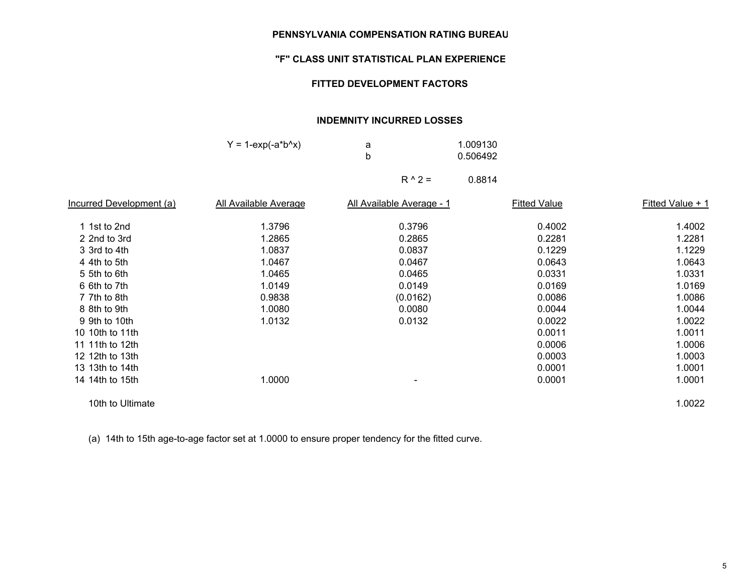## **"F" CLASS UNIT STATISTICAL PLAN EXPERIENCE**

## **FITTED DEVELOPMENT FACTORS**

# **INDEMNITY INCURRED LOSSES**

| $Y = 1$ -exp(-a*b^x) | a |          | 1.009130 |
|----------------------|---|----------|----------|
|                      |   |          | 0.506492 |
|                      |   | $R^02 =$ | 0.8814   |

| Incurred Development (a) | All Available Average | All Available Average - 1 | <b>Fitted Value</b> | Fitted Value + 1 |
|--------------------------|-----------------------|---------------------------|---------------------|------------------|
| 1 1st to 2nd             | 1.3796                | 0.3796                    | 0.4002              | 1.4002           |
| 2 2nd to 3rd             | 1.2865                | 0.2865                    | 0.2281              | 1.2281           |
| 3 3rd to 4th             | 1.0837                | 0.0837                    | 0.1229              | 1.1229           |
| 4 4th to 5th             | 1.0467                | 0.0467                    | 0.0643              | 1.0643           |
| 5 5th to 6th             | 1.0465                | 0.0465                    | 0.0331              | 1.0331           |
| 6 6th to 7th             | 1.0149                | 0.0149                    | 0.0169              | 1.0169           |
| 7 7th to 8th             | 0.9838                | (0.0162)                  | 0.0086              | 1.0086           |
| 8 8th to 9th             | 1.0080                | 0.0080                    | 0.0044              | 1.0044           |
| 9 9th to 10th            | 1.0132                | 0.0132                    | 0.0022              | 1.0022           |
| 10 10th to 11th          |                       |                           | 0.0011              | 1.0011           |
| 11 11th to 12th          |                       |                           | 0.0006              | 1.0006           |
| 12 12th to 13th          |                       |                           | 0.0003              | 1.0003           |
| 13 13th to 14th          |                       |                           | 0.0001              | 1.0001           |
| 14 14th to 15th          | 1.0000                | ۰                         | 0.0001              | 1.0001           |
| 10th to Ultimate         |                       |                           |                     | 1.0022           |

(a) 14th to 15th age-to-age factor set at 1.0000 to ensure proper tendency for the fitted curve.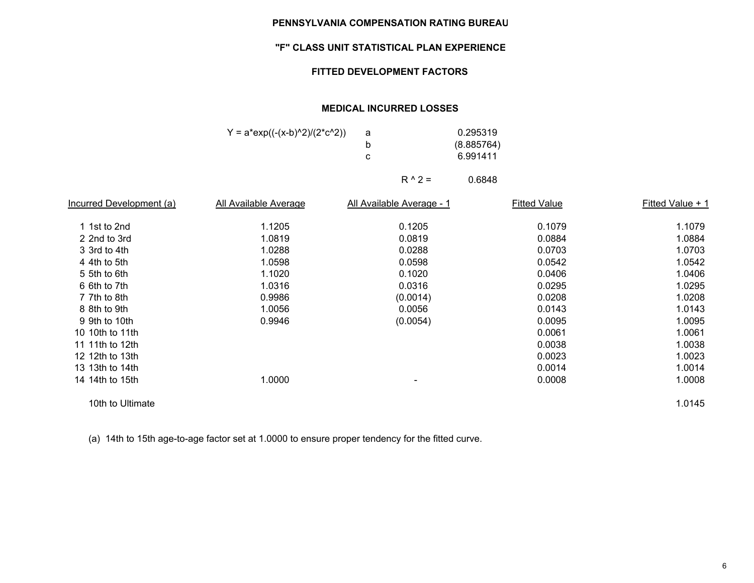# **"F" CLASS UNIT STATISTICAL PLAN EXPERIENCE**

# **FITTED DEVELOPMENT FACTORS**

## **MEDICAL INCURRED LOSSES**

| $Y = a*exp((-x-b)^2)/(2*c^2))$ | 0.295319   |
|--------------------------------|------------|
|                                | (8.885764) |
|                                | 6.991411   |
|                                |            |

 $R \wedge 2 =$  0.6848

| Incurred Development (a) | All Available Average | All Available Average - 1 | <b>Fitted Value</b> | Fitted Value + 1 |
|--------------------------|-----------------------|---------------------------|---------------------|------------------|
| 1 1st to 2nd             | 1.1205                | 0.1205                    | 0.1079              | 1.1079           |
| 2 2nd to 3rd             | 1.0819                | 0.0819                    | 0.0884              | 1.0884           |
| 3 3rd to 4th             | 1.0288                | 0.0288                    | 0.0703              | 1.0703           |
| 4 4th to 5th             | 1.0598                | 0.0598                    | 0.0542              | 1.0542           |
| 5 5th to 6th             | 1.1020                | 0.1020                    | 0.0406              | 1.0406           |
| 6 6th to 7th             | 1.0316                | 0.0316                    | 0.0295              | 1.0295           |
| 7 7th to 8th             | 0.9986                | (0.0014)                  | 0.0208              | 1.0208           |
| 8 8th to 9th             | 1.0056                | 0.0056                    | 0.0143              | 1.0143           |
| 9 9th to 10th            | 0.9946                | (0.0054)                  | 0.0095              | 1.0095           |
| 10 10th to 11th          |                       |                           | 0.0061              | 1.0061           |
| 11 11th to 12th          |                       |                           | 0.0038              | 1.0038           |
| 12 12th to 13th          |                       |                           | 0.0023              | 1.0023           |
| 13 13th to 14th          |                       |                           | 0.0014              | 1.0014           |
| 14 14th to 15th          | 1.0000                | ۰                         | 0.0008              | 1.0008           |
| 10th to Ultimate         |                       |                           |                     | 1.0145           |

(a) 14th to 15th age-to-age factor set at 1.0000 to ensure proper tendency for the fitted curve.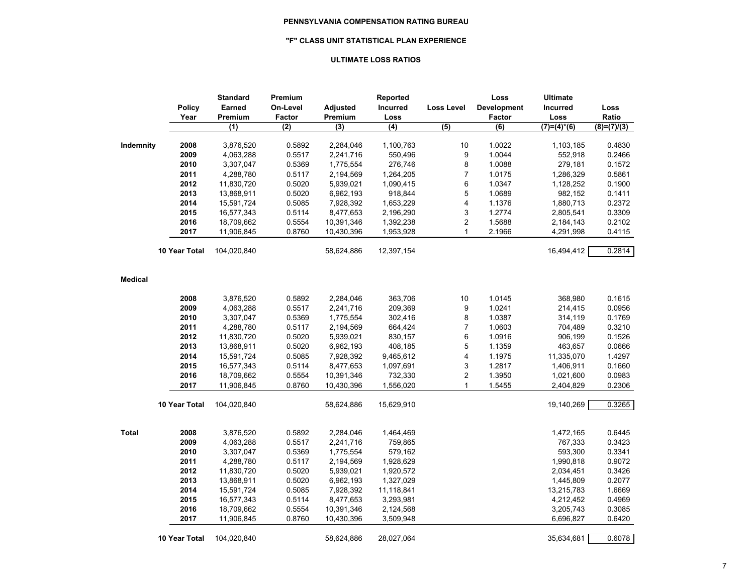### **"F" CLASS UNIT STATISTICAL PLAN EXPERIENCE**

### **ULTIMATE LOSS RATIOS**

|                | <b>Policy</b><br>Year | <b>Standard</b><br>Earned<br>Premium | Premium<br>On-Level<br>Factor | Adjusted<br>Premium | Reported<br>Incurred<br>Loss | <b>Loss Level</b>       | Loss<br><b>Development</b><br>Factor | <b>Ultimate</b><br>Incurred<br>Loss | Loss<br>Ratio |
|----------------|-----------------------|--------------------------------------|-------------------------------|---------------------|------------------------------|-------------------------|--------------------------------------|-------------------------------------|---------------|
|                |                       | (1)                                  | (2)                           | (3)                 | (4)                          | (5)                     | $\overline{(6)}$                     | $(7)=(4)^*(6)$                      | $(8)=(7)/(3)$ |
| Indemnity      | 2008                  | 3,876,520                            | 0.5892                        | 2,284,046           | 1,100,763                    | 10                      | 1.0022                               | 1,103,185                           | 0.4830        |
|                | 2009                  | 4,063,288                            | 0.5517                        | 2,241,716           | 550,496                      | 9                       | 1.0044                               | 552,918                             | 0.2466        |
|                | 2010                  | 3,307,047                            | 0.5369                        | 1,775,554           | 276,746                      | 8                       | 1.0088                               | 279,181                             | 0.1572        |
|                | 2011                  | 4,288,780                            | 0.5117                        | 2,194,569           | 1,264,205                    | $\overline{7}$          | 1.0175                               | 1,286,329                           | 0.5861        |
|                | 2012                  | 11,830,720                           | 0.5020                        | 5,939,021           | 1,090,415                    | 6                       | 1.0347                               | 1,128,252                           | 0.1900        |
|                | 2013                  | 13,868,911                           | 0.5020                        | 6,962,193           | 918,844                      | 5                       | 1.0689                               | 982,152                             | 0.1411        |
|                | 2014                  | 15,591,724                           | 0.5085                        | 7,928,392           | 1,653,229                    | 4                       | 1.1376                               | 1,880,713                           | 0.2372        |
|                | 2015                  | 16,577,343                           | 0.5114                        | 8,477,653           | 2,196,290                    | 3                       | 1.2774                               | 2,805,541                           | 0.3309        |
|                | 2016                  | 18,709,662                           | 0.5554                        | 10,391,346          | 1,392,238                    | $\sqrt{2}$              | 1.5688                               | 2,184,143                           | 0.2102        |
|                | 2017                  | 11,906,845                           | 0.8760                        | 10,430,396          | 1,953,928                    | $\mathbf{1}$            | 2.1966                               | 4,291,998                           | 0.4115        |
|                | 10 Year Total         | 104,020,840                          |                               | 58,624,886          | 12,397,154                   |                         |                                      | 16,494,412                          | 0.2814        |
| <b>Medical</b> |                       |                                      |                               |                     |                              |                         |                                      |                                     |               |
|                | 2008                  | 3,876,520                            | 0.5892                        | 2,284,046           | 363,706                      | 10                      | 1.0145                               | 368,980                             | 0.1615        |
|                | 2009                  | 4,063,288                            | 0.5517                        | 2,241,716           | 209,369                      | 9                       | 1.0241                               | 214,415                             | 0.0956        |
|                | 2010                  | 3,307,047                            | 0.5369                        | 1,775,554           | 302,416                      | 8                       | 1.0387                               | 314,119                             | 0.1769        |
|                | 2011                  | 4,288,780                            | 0.5117                        | 2,194,569           | 664,424                      | $\overline{7}$          | 1.0603                               | 704,489                             | 0.3210        |
|                | 2012                  | 11,830,720                           | 0.5020                        | 5,939,021           | 830,157                      | 6                       | 1.0916                               | 906,199                             | 0.1526        |
|                | 2013                  | 13,868,911                           | 0.5020                        | 6,962,193           | 408,185                      | 5                       | 1.1359                               | 463,657                             | 0.0666        |
|                | 2014                  | 15,591,724                           | 0.5085                        | 7,928,392           | 9,465,612                    | 4                       | 1.1975                               | 11,335,070                          | 1.4297        |
|                | 2015                  | 16,577,343                           | 0.5114                        | 8,477,653           | 1,097,691                    | 3                       | 1.2817                               | 1,406,911                           | 0.1660        |
|                | 2016                  | 18,709,662                           | 0.5554                        | 10,391,346          | 732,330                      | $\overline{\mathbf{c}}$ | 1.3950                               | 1,021,600                           | 0.0983        |
|                | 2017                  | 11,906,845                           | 0.8760                        | 10,430,396          | 1,556,020                    | $\mathbf{1}$            | 1.5455                               | 2,404,829                           | 0.2306        |
|                | 10 Year Total         | 104,020,840                          |                               | 58,624,886          | 15,629,910                   |                         |                                      | 19,140,269                          | 0.3265        |
| Total          | 2008                  | 3,876,520                            | 0.5892                        | 2,284,046           | 1,464,469                    |                         |                                      | 1,472,165                           | 0.6445        |
|                | 2009                  | 4,063,288                            | 0.5517                        | 2,241,716           | 759,865                      |                         |                                      | 767,333                             | 0.3423        |
|                | 2010                  | 3,307,047                            | 0.5369                        | 1,775,554           | 579,162                      |                         |                                      | 593,300                             | 0.3341        |
|                | 2011                  | 4,288,780                            | 0.5117                        | 2,194,569           | 1,928,629                    |                         |                                      | 1,990,818                           | 0.9072        |
|                | 2012                  | 11,830,720                           | 0.5020                        | 5,939,021           | 1,920,572                    |                         |                                      | 2,034,451                           | 0.3426        |
|                | 2013                  | 13,868,911                           | 0.5020                        | 6,962,193           | 1,327,029                    |                         |                                      | 1,445,809                           | 0.2077        |
|                | 2014                  | 15,591,724                           | 0.5085                        | 7,928,392           | 11,118,841                   |                         |                                      | 13,215,783                          | 1.6669        |
|                | 2015                  | 16,577,343                           | 0.5114                        | 8,477,653           | 3,293,981                    |                         |                                      | 4,212,452                           | 0.4969        |
|                | 2016                  | 18,709,662                           | 0.5554                        | 10,391,346          | 2,124,568                    |                         |                                      | 3,205,743                           | 0.3085        |
|                | 2017                  | 11,906,845                           | 0.8760                        | 10,430,396          | 3,509,948                    |                         |                                      | 6,696,827                           | 0.6420        |
|                | 10 Year Total         | 104,020,840                          |                               | 58,624,886          | 28,027,064                   |                         |                                      | 35,634,681                          | 0.6078        |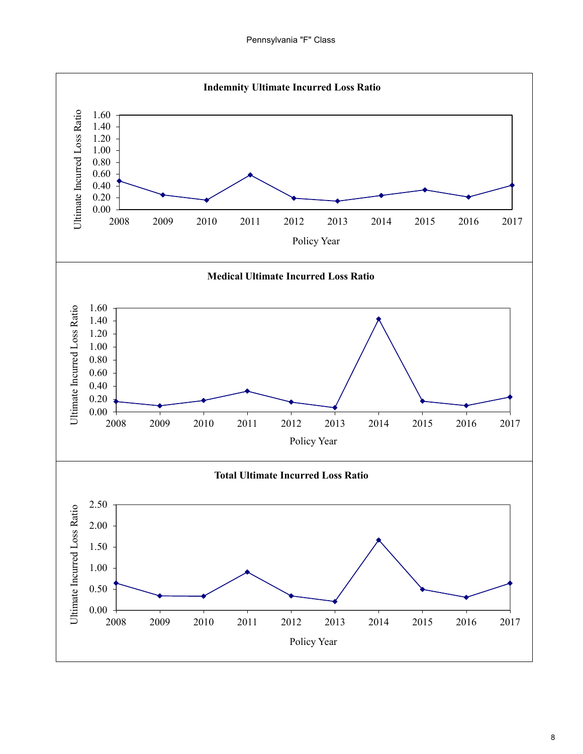